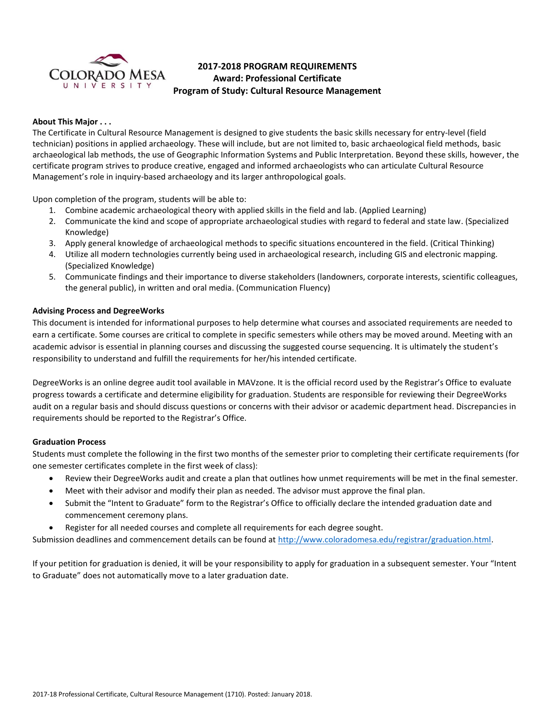

# **2017-2018 PROGRAM REQUIREMENTS Award: Professional Certificate Program of Study: Cultural Resource Management**

# **About This Major . . .**

The Certificate in Cultural Resource Management is designed to give students the basic skills necessary for entry-level (field technician) positions in applied archaeology. These will include, but are not limited to, basic archaeological field methods, basic archaeological lab methods, the use of Geographic Information Systems and Public Interpretation. Beyond these skills, however, the certificate program strives to produce creative, engaged and informed archaeologists who can articulate Cultural Resource Management's role in inquiry-based archaeology and its larger anthropological goals.

Upon completion of the program, students will be able to:

- 1. Combine academic archaeological theory with applied skills in the field and lab. (Applied Learning)
- 2. Communicate the kind and scope of appropriate archaeological studies with regard to federal and state law. (Specialized Knowledge)
- 3. Apply general knowledge of archaeological methods to specific situations encountered in the field. (Critical Thinking)
- 4. Utilize all modern technologies currently being used in archaeological research, including GIS and electronic mapping. (Specialized Knowledge)
- 5. Communicate findings and their importance to diverse stakeholders (landowners, corporate interests, scientific colleagues, the general public), in written and oral media. (Communication Fluency)

# **Advising Process and DegreeWorks**

This document is intended for informational purposes to help determine what courses and associated requirements are needed to earn a certificate. Some courses are critical to complete in specific semesters while others may be moved around. Meeting with an academic advisor is essential in planning courses and discussing the suggested course sequencing. It is ultimately the student's responsibility to understand and fulfill the requirements for her/his intended certificate.

DegreeWorks is an online degree audit tool available in MAVzone. It is the official record used by the Registrar's Office to evaluate progress towards a certificate and determine eligibility for graduation. Students are responsible for reviewing their DegreeWorks audit on a regular basis and should discuss questions or concerns with their advisor or academic department head. Discrepancies in requirements should be reported to the Registrar's Office.

## **Graduation Process**

Students must complete the following in the first two months of the semester prior to completing their certificate requirements (for one semester certificates complete in the first week of class):

- Review their DegreeWorks audit and create a plan that outlines how unmet requirements will be met in the final semester.
- Meet with their advisor and modify their plan as needed. The advisor must approve the final plan.
- Submit the "Intent to Graduate" form to the Registrar's Office to officially declare the intended graduation date and commencement ceremony plans.
- Register for all needed courses and complete all requirements for each degree sought.

Submission deadlines and commencement details can be found at [http://www.coloradomesa.edu/registrar/graduation.html.](http://www.coloradomesa.edu/registrar/graduation.html)

If your petition for graduation is denied, it will be your responsibility to apply for graduation in a subsequent semester. Your "Intent to Graduate" does not automatically move to a later graduation date.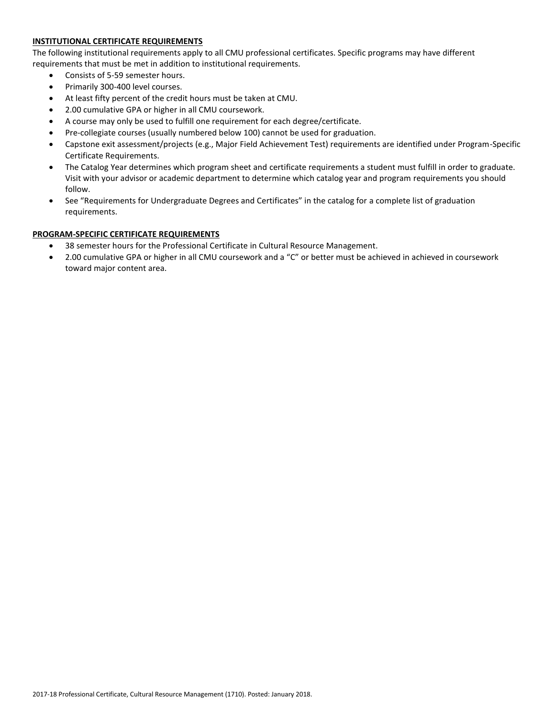# **INSTITUTIONAL CERTIFICATE REQUIREMENTS**

The following institutional requirements apply to all CMU professional certificates. Specific programs may have different requirements that must be met in addition to institutional requirements.

- Consists of 5-59 semester hours.
- Primarily 300-400 level courses.
- At least fifty percent of the credit hours must be taken at CMU.
- 2.00 cumulative GPA or higher in all CMU coursework.
- A course may only be used to fulfill one requirement for each degree/certificate.
- Pre-collegiate courses (usually numbered below 100) cannot be used for graduation.
- Capstone exit assessment/projects (e.g., Major Field Achievement Test) requirements are identified under Program-Specific Certificate Requirements.
- The Catalog Year determines which program sheet and certificate requirements a student must fulfill in order to graduate. Visit with your advisor or academic department to determine which catalog year and program requirements you should follow.
- See "Requirements for Undergraduate Degrees and Certificates" in the catalog for a complete list of graduation requirements.

# **PROGRAM-SPECIFIC CERTIFICATE REQUIREMENTS**

- 38 semester hours for the Professional Certificate in Cultural Resource Management.
- 2.00 cumulative GPA or higher in all CMU coursework and a "C" or better must be achieved in achieved in coursework toward major content area.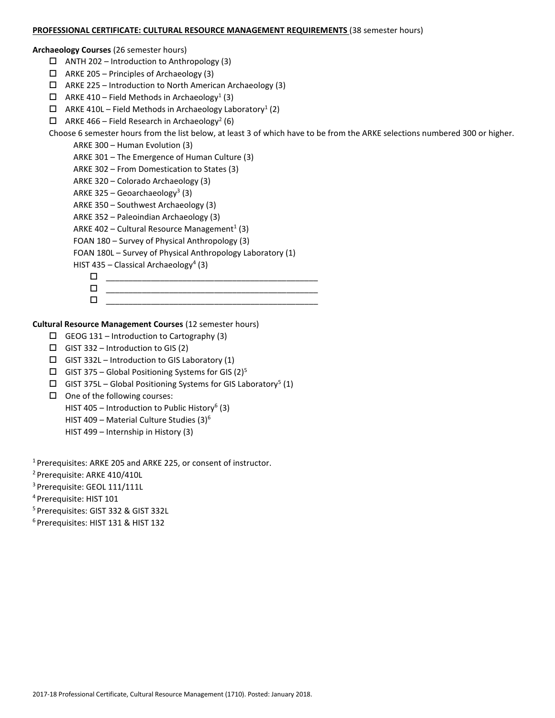#### **PROFESSIONAL CERTIFICATE: CULTURAL RESOURCE MANAGEMENT REQUIREMENTS** (38 semester hours)

# **Archaeology Courses** (26 semester hours)

- $\Box$  ANTH 202 Introduction to Anthropology (3)
- $\Box$  ARKE 205 Principles of Archaeology (3)
- $\Box$  ARKE 225 Introduction to North American Archaeology (3)
- $\Box$  ARKE 410 Field Methods in Archaeology<sup>1</sup> (3)
- $\Box$  ARKE 410L Field Methods in Archaeology Laboratory<sup>1</sup> (2)
- $\Box$  ARKE 466 Field Research in Archaeology<sup>2</sup> (6)

Choose 6 semester hours from the list below, at least 3 of which have to be from the ARKE selections numbered 300 or higher.

- ARKE 300 Human Evolution (3)
- ARKE 301 The Emergence of Human Culture (3)
- ARKE 302 From Domestication to States (3)
- ARKE 320 Colorado Archaeology (3)
- ARKE 325 Geoarchaeology<sup>3</sup> (3)
- ARKE 350 Southwest Archaeology (3)
- ARKE 352 Paleoindian Archaeology (3)
- ARKE 402 Cultural Resource Management<sup>1</sup> (3)
- FOAN 180 Survey of Physical Anthropology (3)
- FOAN 180L Survey of Physical Anthropology Laboratory (1)
- HIST 435 Classical Archaeology<sup>4</sup> (3)
	- $\Box$
	- \_\_\_\_\_\_\_\_\_\_\_\_\_\_\_\_\_\_\_\_\_\_\_\_\_\_\_\_\_\_\_\_\_\_\_\_\_\_\_\_\_\_\_\_\_\_\_  $\Box$

**Cultural Resource Management Courses** (12 semester hours)

- $\Box$  GEOG 131 Introduction to Cartography (3)
- $\Box$  GIST 332 Introduction to GIS (2)
- $\Box$  GIST 332L Introduction to GIS Laboratory (1)
- $\Box$  GIST 375 Global Positioning Systems for GIS (2)<sup>5</sup>
- $\Box$  GIST 375L Global Positioning Systems for GIS Laboratory<sup>5</sup> (1)
- $\Box$  One of the following courses:
	- HIST 405 Introduction to Public History<sup>6</sup> (3)
	- HIST 409 Material Culture Studies (3)<sup>6</sup>
	- HIST 499 Internship in History (3)

<sup>1</sup> Prerequisites: ARKE 205 and ARKE 225, or consent of instructor.

- <sup>2</sup> Prerequisite: ARKE 410/410L
- <sup>3</sup> Prerequisite: GEOL 111/111L
- <sup>4</sup>Prerequisite: HIST 101
- <sup>5</sup> Prerequisites: GIST 332 & GIST 332L
- 6 Prerequisites: HIST 131 & HIST 132